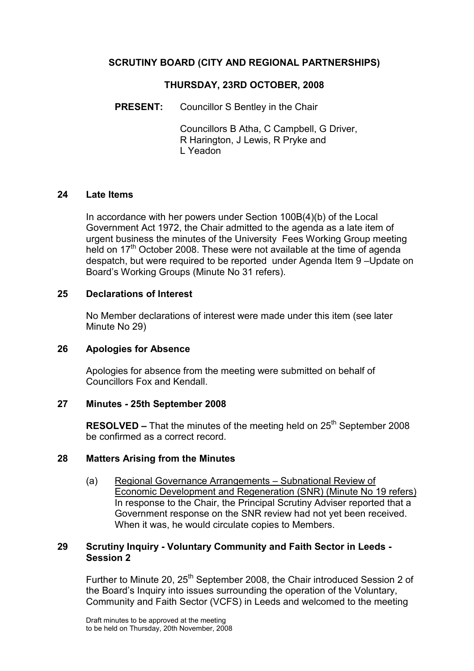## SCRUTINY BOARD (CITY AND REGIONAL PARTNERSHIPS)

### THURSDAY, 23RD OCTOBER, 2008

PRESENT: Councillor S Bentley in the Chair

 Councillors B Atha, C Campbell, G Driver, R Harington, J Lewis, R Pryke and L Yeadon

#### 24 Late Items

In accordance with her powers under Section 100B(4)(b) of the Local Government Act 1972, the Chair admitted to the agenda as a late item of urgent business the minutes of the University Fees Working Group meeting held on 17<sup>th</sup> October 2008. These were not available at the time of agenda despatch, but were required to be reported under Agenda Item 9 –Update on Board's Working Groups (Minute No 31 refers).

#### 25 Declarations of Interest

No Member declarations of interest were made under this item (see later Minute No 29)

#### 26 Apologies for Absence

Apologies for absence from the meeting were submitted on behalf of Councillors Fox and Kendall.

#### 27 Minutes - 25th September 2008

**RESOLVED –** That the minutes of the meeting held on  $25<sup>th</sup>$  September 2008 be confirmed as a correct record.

#### 28 Matters Arising from the Minutes

(a) Regional Governance Arrangements – Subnational Review of Economic Development and Regeneration (SNR) (Minute No 19 refers) In response to the Chair, the Principal Scrutiny Adviser reported that a Government response on the SNR review had not yet been received. When it was, he would circulate copies to Members.

#### 29 Scrutiny Inquiry - Voluntary Community and Faith Sector in Leeds - Session 2

Further to Minute 20, 25<sup>th</sup> September 2008, the Chair introduced Session 2 of the Board's Inquiry into issues surrounding the operation of the Voluntary, Community and Faith Sector (VCFS) in Leeds and welcomed to the meeting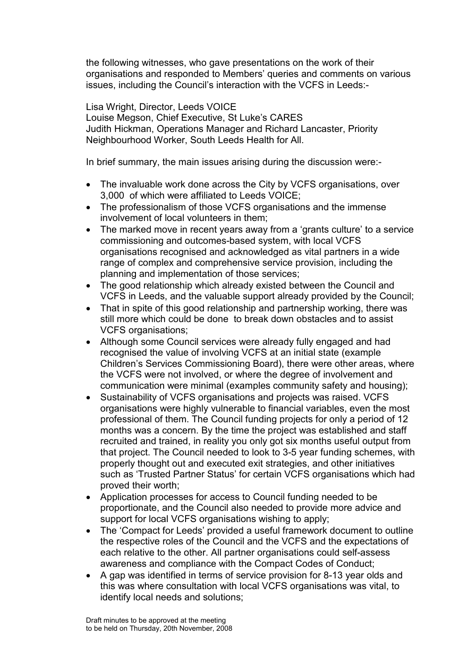the following witnesses, who gave presentations on the work of their organisations and responded to Members' queries and comments on various issues, including the Council's interaction with the VCFS in Leeds:-

Lisa Wright, Director, Leeds VOICE Louise Megson, Chief Executive, St Luke's CARES Judith Hickman, Operations Manager and Richard Lancaster, Priority Neighbourhood Worker, South Leeds Health for All.

In brief summary, the main issues arising during the discussion were:-

- The invaluable work done across the City by VCFS organisations, over 3,000 of which were affiliated to Leeds VOICE;
- The professionalism of those VCFS organisations and the immense involvement of local volunteers in them;
- The marked move in recent years away from a 'grants culture' to a service commissioning and outcomes-based system, with local VCFS organisations recognised and acknowledged as vital partners in a wide range of complex and comprehensive service provision, including the planning and implementation of those services;
- The good relationship which already existed between the Council and VCFS in Leeds, and the valuable support already provided by the Council;
- That in spite of this good relationship and partnership working, there was still more which could be done to break down obstacles and to assist VCFS organisations;
- Although some Council services were already fully engaged and had recognised the value of involving VCFS at an initial state (example Children's Services Commissioning Board), there were other areas, where the VCFS were not involved, or where the degree of involvement and communication were minimal (examples community safety and housing);
- Sustainability of VCFS organisations and projects was raised. VCFS organisations were highly vulnerable to financial variables, even the most professional of them. The Council funding projects for only a period of 12 months was a concern. By the time the project was established and staff recruited and trained, in reality you only got six months useful output from that project. The Council needed to look to 3-5 year funding schemes, with properly thought out and executed exit strategies, and other initiatives such as 'Trusted Partner Status' for certain VCFS organisations which had proved their worth;
- Application processes for access to Council funding needed to be proportionate, and the Council also needed to provide more advice and support for local VCFS organisations wishing to apply;
- The 'Compact for Leeds' provided a useful framework document to outline the respective roles of the Council and the VCFS and the expectations of each relative to the other. All partner organisations could self-assess awareness and compliance with the Compact Codes of Conduct;
- A gap was identified in terms of service provision for 8-13 year olds and this was where consultation with local VCFS organisations was vital, to identify local needs and solutions;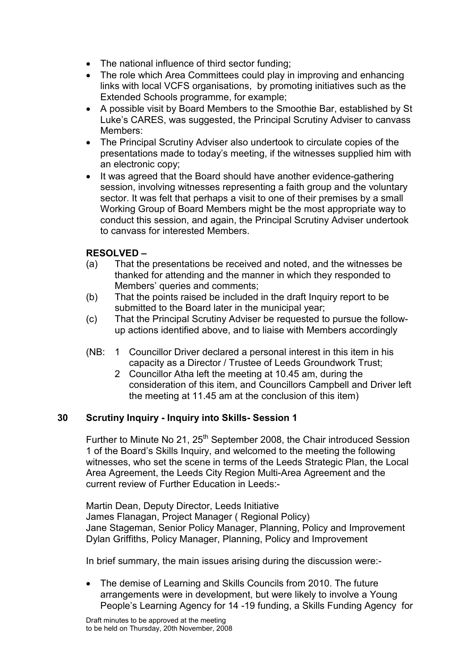- The national influence of third sector funding;
- The role which Area Committees could play in improving and enhancing links with local VCFS organisations, by promoting initiatives such as the Extended Schools programme, for example;
- A possible visit by Board Members to the Smoothie Bar, established by St Luke's CARES, was suggested, the Principal Scrutiny Adviser to canvass Members:
- The Principal Scrutiny Adviser also undertook to circulate copies of the presentations made to today's meeting, if the witnesses supplied him with an electronic copy;
- It was agreed that the Board should have another evidence-gathering session, involving witnesses representing a faith group and the voluntary sector. It was felt that perhaps a visit to one of their premises by a small Working Group of Board Members might be the most appropriate way to conduct this session, and again, the Principal Scrutiny Adviser undertook to canvass for interested Members.

## RESOLVED –

- (a) That the presentations be received and noted, and the witnesses be thanked for attending and the manner in which they responded to Members' queries and comments;
- (b) That the points raised be included in the draft Inquiry report to be submitted to the Board later in the municipal year;
- (c) That the Principal Scrutiny Adviser be requested to pursue the followup actions identified above, and to liaise with Members accordingly
- (NB: 1 Councillor Driver declared a personal interest in this item in his capacity as a Director / Trustee of Leeds Groundwork Trust;
	- 2 Councillor Atha left the meeting at 10.45 am, during the consideration of this item, and Councillors Campbell and Driver left the meeting at 11.45 am at the conclusion of this item)

#### 30 Scrutiny Inquiry - Inquiry into Skills- Session 1

Further to Minute No 21, 25<sup>th</sup> September 2008, the Chair introduced Session 1 of the Board's Skills Inquiry, and welcomed to the meeting the following witnesses, who set the scene in terms of the Leeds Strategic Plan, the Local Area Agreement, the Leeds City Region Multi-Area Agreement and the current review of Further Education in Leeds:-

Martin Dean, Deputy Director, Leeds Initiative James Flanagan, Project Manager ( Regional Policy) Jane Stageman, Senior Policy Manager, Planning, Policy and Improvement Dylan Griffiths, Policy Manager, Planning, Policy and Improvement

In brief summary, the main issues arising during the discussion were:-

• The demise of Learning and Skills Councils from 2010. The future arrangements were in development, but were likely to involve a Young People's Learning Agency for 14 -19 funding, a Skills Funding Agency for

Draft minutes to be approved at the meeting to be held on Thursday, 20th November, 2008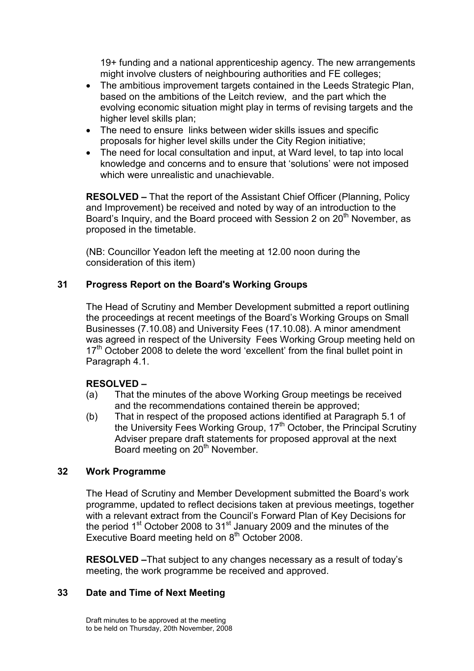19+ funding and a national apprenticeship agency. The new arrangements might involve clusters of neighbouring authorities and FE colleges;

- The ambitious improvement targets contained in the Leeds Strategic Plan, based on the ambitions of the Leitch review, and the part which the evolving economic situation might play in terms of revising targets and the higher level skills plan;
- The need to ensure links between wider skills issues and specific proposals for higher level skills under the City Region initiative;
- The need for local consultation and input, at Ward level, to tap into local knowledge and concerns and to ensure that 'solutions' were not imposed which were unrealistic and unachievable.

RESOLVED – That the report of the Assistant Chief Officer (Planning, Policy and Improvement) be received and noted by way of an introduction to the Board's Inquiry, and the Board proceed with Session 2 on 20<sup>th</sup> November, as proposed in the timetable.

(NB: Councillor Yeadon left the meeting at 12.00 noon during the consideration of this item)

# 31 Progress Report on the Board's Working Groups

The Head of Scrutiny and Member Development submitted a report outlining the proceedings at recent meetings of the Board's Working Groups on Small Businesses (7.10.08) and University Fees (17.10.08). A minor amendment was agreed in respect of the University Fees Working Group meeting held on  $17<sup>th</sup>$  October 2008 to delete the word 'excellent' from the final bullet point in Paragraph 4.1.

#### RESOLVED –

- (a) That the minutes of the above Working Group meetings be received and the recommendations contained therein be approved;
- (b) That in respect of the proposed actions identified at Paragraph 5.1 of the University Fees Working Group, 17<sup>th</sup> October, the Principal Scrutiny Adviser prepare draft statements for proposed approval at the next Board meeting on 20<sup>th</sup> November.

#### 32 Work Programme

The Head of Scrutiny and Member Development submitted the Board's work programme, updated to reflect decisions taken at previous meetings, together with a relevant extract from the Council's Forward Plan of Key Decisions for the period 1<sup>st</sup> October 2008 to 31<sup>st</sup> January 2009 and the minutes of the Executive Board meeting held on  $8<sup>th</sup>$  October 2008.

RESOLVED –That subject to any changes necessary as a result of today's meeting, the work programme be received and approved.

#### 33 Date and Time of Next Meeting